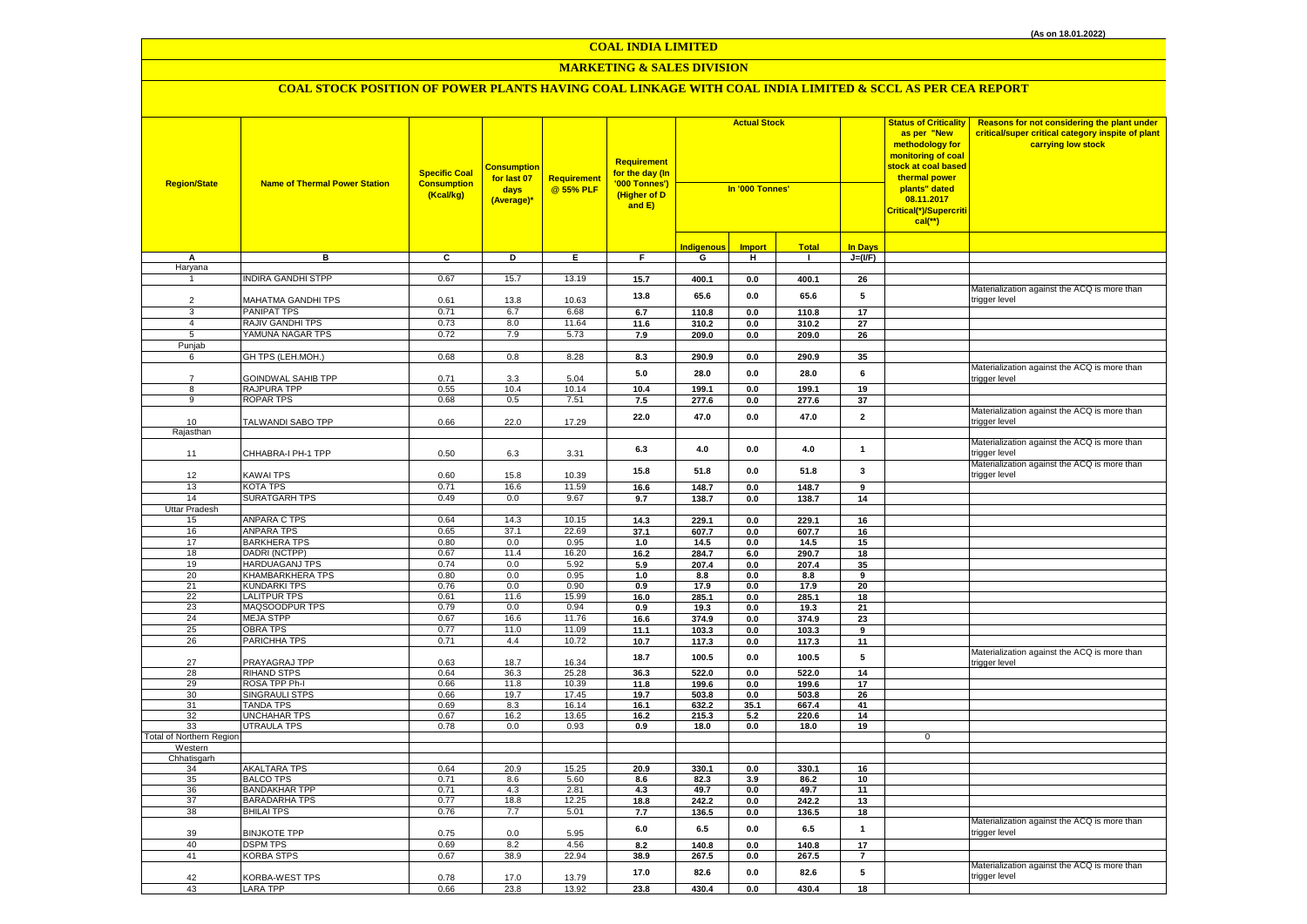## **MARKETING & SALES DIVISION**

| <b>Region/State</b>      | <b>Name of Thermal Power Station</b>      | <b>Specific Coal</b><br><b>Consumption</b><br>(Kcal/kg) | <mark>Consumptior</mark><br>for last 07<br>days<br>(Average)* | Requirement<br>@ 55% PLF | Requirement<br>for the day (In<br>'000 Tonnes')<br>(Higher of D<br>and E) | <b>Actual Stock</b><br>In '000 Tonnes' |                |                | <b>Status of Criticality</b><br>as per "New<br>methodology for<br>monitoring of coal<br><mark>stock at coal based</mark><br>thermal power<br>plants" dated<br>08.11.2017<br>Critical(*)/Supercriti<br>$cal$ (**) |             | Reasons for not considering the plant under<br>critical/super critical category inspite of plant<br>carrying low stock |
|--------------------------|-------------------------------------------|---------------------------------------------------------|---------------------------------------------------------------|--------------------------|---------------------------------------------------------------------------|----------------------------------------|----------------|----------------|------------------------------------------------------------------------------------------------------------------------------------------------------------------------------------------------------------------|-------------|------------------------------------------------------------------------------------------------------------------------|
|                          |                                           |                                                         |                                                               |                          |                                                                           | <b>Indigenous</b>                      | <b>Import</b>  | <b>Total</b>   | <b>In Days</b>                                                                                                                                                                                                   |             |                                                                                                                        |
| А                        | в                                         | C                                                       | D                                                             | E                        | F.                                                                        | G                                      | H              | $\mathbf{I}$   | $J=(VF)$                                                                                                                                                                                                         |             |                                                                                                                        |
| Haryana                  |                                           |                                                         |                                                               |                          |                                                                           |                                        |                |                |                                                                                                                                                                                                                  |             |                                                                                                                        |
|                          | <b>NDIRA GANDHI STPP</b>                  | 0.67                                                    | 15.7                                                          | 13.19                    | 15.7                                                                      | 400.1                                  | $0.0\,$        | 400.1          | 26                                                                                                                                                                                                               |             |                                                                                                                        |
| $\overline{2}$           | MAHATMA GANDHI TPS                        | 0.61                                                    | 13.8                                                          | 10.63                    | 13.8                                                                      | 65.6                                   | 0.0            | 65.6           | 5                                                                                                                                                                                                                |             | Materialization against the ACQ is more than<br>rigger level:                                                          |
| 3                        | <b>PANIPAT TPS</b>                        | 0.71                                                    | 6.7                                                           | 6.68                     | 6.7                                                                       | 110.8                                  | 0.0            | 110.8          | 17                                                                                                                                                                                                               |             |                                                                                                                        |
| $\overline{4}$           | <b>RAJIV GANDHI TPS</b>                   | 0.73                                                    | 8.0                                                           | 11.64                    | 11.6                                                                      | 310.2                                  | 0.0            | 310.2          | 27                                                                                                                                                                                                               |             |                                                                                                                        |
| 5                        | YAMUNA NAGAR TPS                          | 0.72                                                    | 7.9                                                           | 5.73                     | 7.9                                                                       | 209.0                                  | 0.0            | 209.0          | 26                                                                                                                                                                                                               |             |                                                                                                                        |
| Punjab                   |                                           |                                                         |                                                               |                          |                                                                           |                                        |                |                |                                                                                                                                                                                                                  |             |                                                                                                                        |
| 6                        | GH TPS (LEH.MOH.)                         | 0.68                                                    | 0.8                                                           | 8.28                     | 8.3                                                                       | 290.9                                  | $0.0\,$        | 290.9          | 35                                                                                                                                                                                                               |             |                                                                                                                        |
|                          |                                           |                                                         |                                                               |                          | 5.0                                                                       | 28.0                                   | 0.0            | 28.0           | 6                                                                                                                                                                                                                |             | Materialization against the ACQ is more than                                                                           |
| $\overline{7}$           | GOINDWAL SAHIB TPP                        | 0.71                                                    | 3.3                                                           | 5.04                     |                                                                           |                                        |                |                |                                                                                                                                                                                                                  |             | rigger level                                                                                                           |
| $\overline{8}$           | RAJPURA TPP                               | 0.55                                                    | 10.4                                                          | 10.14                    | 10.4                                                                      | 199.1                                  | 0.0            | 199.1          | 19                                                                                                                                                                                                               |             |                                                                                                                        |
| 9                        | <b>ROPAR TPS</b>                          | 0.68                                                    | 0.5                                                           | 7.51                     | 7.5                                                                       | 277.6                                  | 0.0            | 277.6          | 37                                                                                                                                                                                                               |             |                                                                                                                        |
|                          |                                           |                                                         |                                                               |                          | 22.0                                                                      | 47.0                                   | 0.0            | 47.0           | $\mathbf{2}$                                                                                                                                                                                                     |             | Materialization against the ACQ is more than                                                                           |
| 10<br>Rajasthan          | TALWANDI SABO TPP                         | 0.66                                                    | 22.0                                                          | 17.29                    |                                                                           |                                        |                |                |                                                                                                                                                                                                                  |             | trigger level                                                                                                          |
| 11                       | CHHABRA-I PH-1 TPP                        | 0.50                                                    | 6.3                                                           | 3.31                     | 6.3                                                                       | 4.0                                    | 0.0            | 4.0            | $\mathbf{1}$                                                                                                                                                                                                     |             | Materialization against the ACQ is more than<br>rigger level                                                           |
| 12                       |                                           |                                                         |                                                               |                          | 15.8                                                                      | 51.8                                   | 0.0            | 51.8           | 3                                                                                                                                                                                                                |             | Materialization against the ACQ is more than<br>trigger level                                                          |
|                          | KAWAI TPS<br><b>KOTA TPS</b>              | 0.60                                                    | 15.8                                                          | 10.39                    |                                                                           |                                        |                |                |                                                                                                                                                                                                                  |             |                                                                                                                        |
| 13<br>14                 | <b>SURATGARH TPS</b>                      | 0.71<br>0.49                                            | 16.6<br>0.0                                                   | 11.59<br>9.67            | 16.6<br>9.7                                                               | 148.7<br>138.7                         | $\mathbf{0.0}$ | 148.7<br>138.7 | $\boldsymbol{9}$<br>14                                                                                                                                                                                           |             |                                                                                                                        |
| Uttar Pradesh            |                                           |                                                         |                                                               |                          |                                                                           |                                        | 0.0            |                |                                                                                                                                                                                                                  |             |                                                                                                                        |
| 15                       | ANPARA C TPS                              | 0.64                                                    | 14.3                                                          | 10.15                    | 14.3                                                                      | 229.1                                  | $0.0\,$        | 229.1          | 16                                                                                                                                                                                                               |             |                                                                                                                        |
| 16                       | <b>ANPARA TPS</b>                         | 0.65                                                    | 37.1                                                          | 22.69                    | 37.1                                                                      | 607.7                                  | $0.0\,$        | 607.7          | 16                                                                                                                                                                                                               |             |                                                                                                                        |
| 17                       | <b>BARKHERA TPS</b>                       | 0.80                                                    | 0.0                                                           | 0.95                     | 1.0                                                                       | 14.5                                   | 0.0            | 14.5           | 15                                                                                                                                                                                                               |             |                                                                                                                        |
| 18                       | DADRI (NCTPP)                             | 0.67                                                    | 11.4                                                          | 16.20                    | 16.2                                                                      | 284.7                                  | 6.0            | 290.7          | 18                                                                                                                                                                                                               |             |                                                                                                                        |
| 19                       | <b>HARDUAGANJ TPS</b>                     | 0.74                                                    | 0.0                                                           | 5.92                     | 5.9                                                                       | 207.4                                  | 0.0            | 207.4          | 35                                                                                                                                                                                                               |             |                                                                                                                        |
| 20                       | <b>KHAMBARKHERA TPS</b>                   | 0.80                                                    | 0.0                                                           | 0.95                     | $1.0$                                                                     | 8.8                                    | 0.0            | 8.8            | 9                                                                                                                                                                                                                |             |                                                                                                                        |
| 21                       | KUNDARKI TPS                              | 0.76                                                    | 0.0                                                           | 0.90                     | 0.9                                                                       | 17.9                                   | $0.0\,$        | 17.9           | 20                                                                                                                                                                                                               |             |                                                                                                                        |
| 22                       | <b>LALITPUR TPS</b>                       | 0.61                                                    | 11.6                                                          | 15.99                    | 16.0                                                                      | 285.1                                  | $0.0\,$        | 285.1          | 18                                                                                                                                                                                                               |             |                                                                                                                        |
| 23<br>24                 | MAQSOODPUR TPS                            | 0.79                                                    | 0.0                                                           | 0.94                     | 0.9                                                                       | 19.3                                   | 0.0            | 19.3           | 21                                                                                                                                                                                                               |             |                                                                                                                        |
| 25                       | <b>MEJA STPP</b><br><b>OBRA TPS</b>       | 0.67<br>0.77                                            | 16.6<br>11.0                                                  | 11.76<br>11.09           | 16.6                                                                      | 374.9<br>103.3                         | $0.0\,$        | 374.9          | 23<br>9                                                                                                                                                                                                          |             |                                                                                                                        |
| 26                       | PARICHHA TPS                              | 0.71                                                    | 4.4                                                           | 10.72                    | 11.1<br>10.7                                                              | 117.3                                  | 0.0<br>0.0     | 103.3<br>117.3 | 11                                                                                                                                                                                                               |             |                                                                                                                        |
|                          |                                           |                                                         |                                                               |                          |                                                                           |                                        |                |                |                                                                                                                                                                                                                  |             | Materialization against the ACQ is more than                                                                           |
| 27                       | PRAYAGRAJ TPP                             | 0.63                                                    | 18.7                                                          | 16.34                    | 18.7                                                                      | 100.5                                  | 0.0            | 100.5          | 5                                                                                                                                                                                                                |             | trigger level                                                                                                          |
| 28                       | <b>RIHAND STPS</b>                        | 0.64                                                    | 36.3                                                          | 25.28                    | 36.3                                                                      | 522.0                                  | 0.0            | 522.0          | 14                                                                                                                                                                                                               |             |                                                                                                                        |
| 29                       | ROSA TPP Ph-I                             | 0.66                                                    | 11.8                                                          | 10.39                    | 11.8                                                                      | 199.6                                  | 0.0            | 199.6          | 17                                                                                                                                                                                                               |             |                                                                                                                        |
| 30                       | <b>SINGRAULI STPS</b>                     | 0.66                                                    | 19.7                                                          | 17.45                    | 19.7                                                                      | 503.8                                  | $0.0\,$        | 503.8          | 26                                                                                                                                                                                                               |             |                                                                                                                        |
| 31<br>32                 | <b>TANDA TPS</b>                          | 0.69<br>0.67                                            | 8.3<br>16.2                                                   | 16.14<br>13.65           | 16.1                                                                      | 632.2<br>215.3                         | 35.1<br>5.2    | 667.4<br>220.6 | 41<br>14                                                                                                                                                                                                         |             |                                                                                                                        |
| 33                       | <b>UNCHAHAR TPS</b><br><b>UTRAULA TPS</b> | 0.78                                                    | 0.0                                                           | 0.93                     | 16.2<br>0.9                                                               | 18.0                                   | 0.0            | 18.0           | 19                                                                                                                                                                                                               |             |                                                                                                                        |
| Total of Northern Region |                                           |                                                         |                                                               |                          |                                                                           |                                        |                |                |                                                                                                                                                                                                                  | $\mathbf 0$ |                                                                                                                        |
| Western                  |                                           |                                                         |                                                               |                          |                                                                           |                                        |                |                |                                                                                                                                                                                                                  |             |                                                                                                                        |
| Chhatisgarh              |                                           |                                                         |                                                               |                          |                                                                           |                                        |                |                |                                                                                                                                                                                                                  |             |                                                                                                                        |
| 34                       | AKALTARA TPS                              | 0.64                                                    | 20.9                                                          | 15.25                    | 20.9                                                                      | 330.1                                  | 0.0            | 330.1          | 16                                                                                                                                                                                                               |             |                                                                                                                        |
| 35                       | <b>BALCO TPS</b>                          | 0.71                                                    | 8.6                                                           | 5.60                     | 8.6                                                                       | 82.3                                   | 3.9            | 86.2           | 10                                                                                                                                                                                                               |             |                                                                                                                        |
| 36                       | <b>BANDAKHAR TPP</b>                      | 0.71                                                    | 4.3                                                           | 2.81                     | 4.3                                                                       | 49.7                                   | 0.0            | 49.7           | 11                                                                                                                                                                                                               |             |                                                                                                                        |
| 37<br>38                 | <b>BARADARHA TPS</b><br><b>BHILAI TPS</b> | 0.77<br>0.76                                            | 18.8<br>7.7                                                   | 12.25<br>5.01            | 18.8<br>7.7                                                               | 242.2                                  | 0.0            | 242.2          | 13                                                                                                                                                                                                               |             |                                                                                                                        |
|                          |                                           |                                                         |                                                               |                          | $6.0\,$                                                                   | 136.5<br>6.5                           | $0.0\,$<br>0.0 | 136.5<br>6.5   | 18<br>$\mathbf{1}$                                                                                                                                                                                               |             | Materialization against the ACQ is more than                                                                           |
| 39                       | <b>BINJKOTE TPP</b>                       | 0.75                                                    | 0.0                                                           | 5.95                     |                                                                           |                                        |                |                |                                                                                                                                                                                                                  |             | trigger level                                                                                                          |
| 40                       | <b>DSPM TPS</b>                           | 0.69                                                    | 8.2                                                           | 4.56                     | 8.2                                                                       | 140.8                                  | 0.0            | 140.8          | 17                                                                                                                                                                                                               |             |                                                                                                                        |
| 41                       | <b>KORBA STPS</b>                         | 0.67                                                    | 38.9                                                          | 22.94                    | 38.9                                                                      | 267.5                                  | $0.0\,$        | 267.5          | $\overline{7}$                                                                                                                                                                                                   |             |                                                                                                                        |
| 42                       | KORBA-WEST TPS                            | 0.78                                                    | 17.0                                                          | 13.79                    | 17.0                                                                      | 82.6                                   | 0.0            | 82.6           | 5<br>18                                                                                                                                                                                                          |             | Materialization against the ACQ is more than<br>trigger level                                                          |
| 43                       | <b>LARA TPP</b>                           | 0.66                                                    | 23.8                                                          | 13.92                    | 23.8                                                                      | 430.4                                  | 0.0            | 430.4          |                                                                                                                                                                                                                  |             |                                                                                                                        |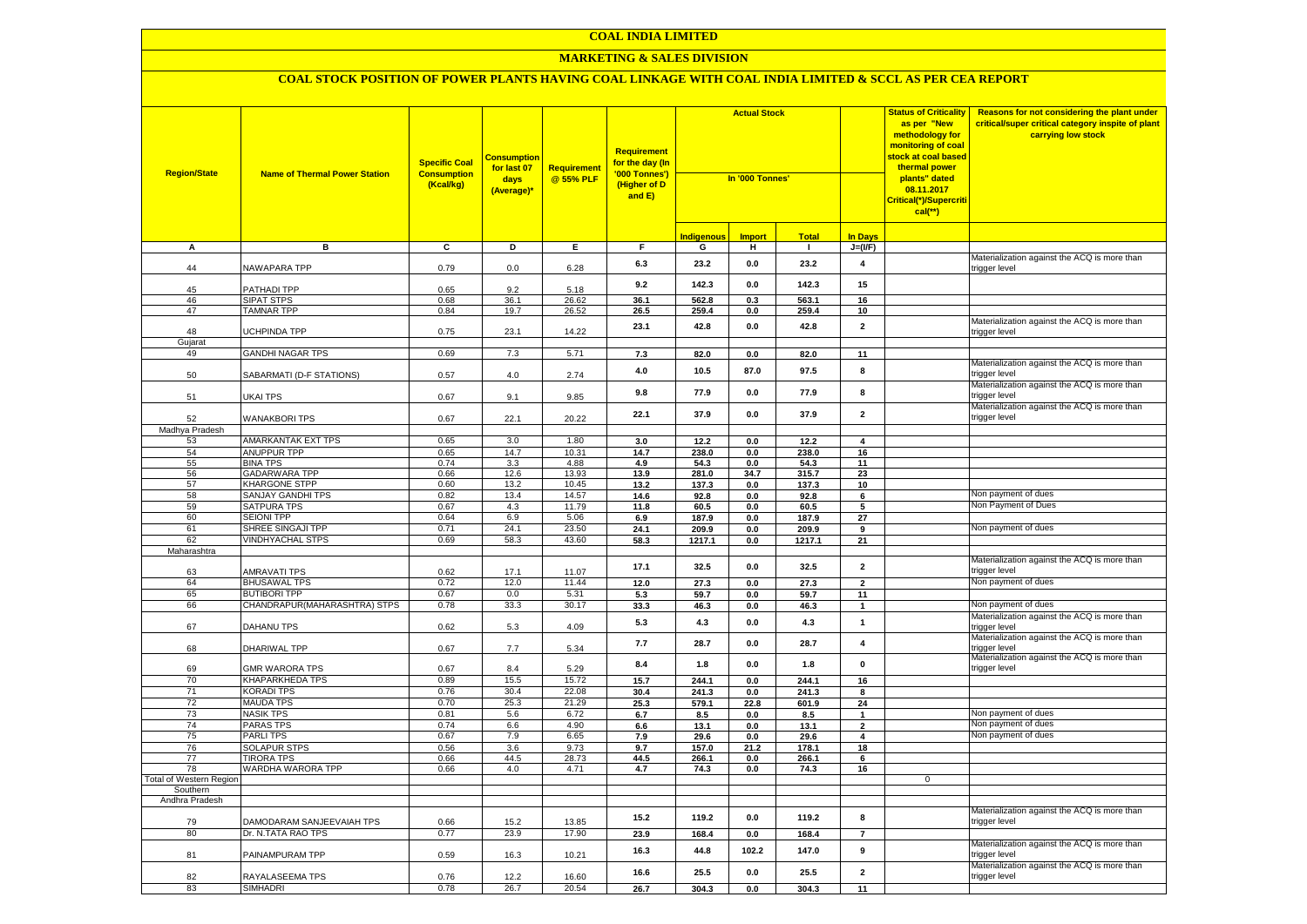#### **MARKETING & SALES DIVISION**

| <b>Region/State</b>            | <b>Name of Thermal Power Station</b>             | <b>Specific Coal</b><br><b>Consumption</b><br>(Kcal/kg) | <b>Consumption</b><br>for last 07<br>days<br>(Average)* | Requirement<br>@ 55% PLF | Requirement<br>f <mark>or the day (In</mark><br>'000 Tonnes')<br>(Higher of D<br>and E) | <b>Actual Stock</b><br>In '000 Tonnes' |               |                |                         | <b>Status of Criticality</b><br>as per "New<br>methodology for<br>monitoring of coal<br>stock at coal based<br>thermal power<br>plants" dated<br>08.11.2017<br>Critical(*)/Supercriti<br>$cal$ (**) | Reasons for not considering the plant under<br>critical/super critical category inspite of plant<br>carrying low stock |
|--------------------------------|--------------------------------------------------|---------------------------------------------------------|---------------------------------------------------------|--------------------------|-----------------------------------------------------------------------------------------|----------------------------------------|---------------|----------------|-------------------------|-----------------------------------------------------------------------------------------------------------------------------------------------------------------------------------------------------|------------------------------------------------------------------------------------------------------------------------|
|                                |                                                  |                                                         |                                                         |                          |                                                                                         | <b>Indigenous</b>                      | <b>Import</b> | <b>Total</b>   | <b>In Days</b>          |                                                                                                                                                                                                     |                                                                                                                        |
| А                              | в                                                | $\overline{c}$                                          | Þ                                                       | E                        | $\overline{F}$                                                                          | G                                      | н             | $\blacksquare$ | $J=(VF)$                |                                                                                                                                                                                                     |                                                                                                                        |
| 44                             | NAWAPARA TPP                                     | 0.79                                                    | 0.0                                                     | 6.28                     | 6.3                                                                                     | 23.2                                   | 0.0           | 23.2           | $\overline{\mathbf{4}}$ |                                                                                                                                                                                                     | Materialization against the ACQ is more than<br>rigger level                                                           |
| 45                             | PATHADI TPP                                      | 0.65                                                    | 9.2                                                     | 5.18                     | 9.2                                                                                     | 142.3                                  | 0.0           | 142.3          | 15                      |                                                                                                                                                                                                     |                                                                                                                        |
| 46                             | <b>SIPAT STPS</b>                                | 0.68                                                    | 36.1                                                    | 26.62                    | 36.1                                                                                    | 562.8                                  | 0.3           | 563.1          | 16                      |                                                                                                                                                                                                     |                                                                                                                        |
| 47                             | <b>TAMNAR TPP</b>                                | 0.84                                                    | 19.7                                                    | $26.\overline{52}$       | 26.5                                                                                    | 259.4                                  | 0.0           | 259.4          | 10 <sup>1</sup>         |                                                                                                                                                                                                     |                                                                                                                        |
| 48<br>Gujarat                  | UCHPINDA TPP                                     | 0.75                                                    | 23.1                                                    | 14.22                    | 23.1                                                                                    | 42.8                                   | 0.0           | 42.8           | $\overline{2}$          |                                                                                                                                                                                                     | Materialization against the ACQ is more than<br>trigger level                                                          |
| 49                             | <b>GANDHI NAGAR TPS</b>                          | 0.69                                                    | 7.3                                                     | 5.71                     | 7.3                                                                                     | 82.0                                   | 0.0           | 82.0           | 11                      |                                                                                                                                                                                                     |                                                                                                                        |
| 50                             | SABARMATI (D-F STATIONS)                         | 0.57                                                    | 4.0                                                     | 2.74                     | 4.0                                                                                     | 10.5                                   | 87.0          | 97.5           | 8                       |                                                                                                                                                                                                     | Materialization against the ACQ is more than<br>trigger level                                                          |
| 51                             | UKAI TPS                                         | 0.67                                                    | 9.1                                                     | 9.85                     | 9.8                                                                                     | 77.9                                   | 0.0           | 77.9           | 8                       |                                                                                                                                                                                                     | Materialization against the ACQ is more than<br>rigger level:                                                          |
| 52                             | <b>WANAKBORI TPS</b>                             | 0.67                                                    | 22.1                                                    | 20.22                    | 22.1                                                                                    | 37.9                                   | 0.0           | 37.9           | $\overline{\mathbf{2}}$ |                                                                                                                                                                                                     | Materialization against the ACQ is more than<br>trigger level                                                          |
| Madhya Pradesh                 |                                                  |                                                         |                                                         |                          |                                                                                         |                                        |               |                |                         |                                                                                                                                                                                                     |                                                                                                                        |
| 53                             | <b>AMARKANTAK EXT TPS</b>                        | 0.65                                                    | 3.0                                                     | 1.80                     | 3.0                                                                                     | 12.2                                   | 0.0           | 12.2           | $\overline{\mathbf{4}}$ |                                                                                                                                                                                                     |                                                                                                                        |
| 54                             | <b>ANUPPUR TPP</b>                               | 0.65                                                    | 14.7                                                    | 10.31                    | 14.7                                                                                    | 238.0                                  | 0.0           | 238.0          | 16                      |                                                                                                                                                                                                     |                                                                                                                        |
| 55                             | <b>BINA TPS</b>                                  | 0.74                                                    | 3.3                                                     | 4.88                     | 4.9                                                                                     | 54.3                                   | 0.0           | 54.3           | 11                      |                                                                                                                                                                                                     |                                                                                                                        |
| 56                             | <b>GADARWARA TPP</b>                             | 0.66                                                    | 12.6                                                    | 13.93                    | 13.9                                                                                    | 281.0                                  | 34.7          | 315.7          | 23                      |                                                                                                                                                                                                     |                                                                                                                        |
| 57<br>58                       | <b>KHARGONE STPP</b><br><b>SANJAY GANDHI TPS</b> | 0.60<br>0.82                                            | 13.2<br>13.4                                            | 10.45<br>14.57           | 13.2                                                                                    | 137.3                                  | 0.0           | 137.3          | 10                      |                                                                                                                                                                                                     | Non payment of dues                                                                                                    |
| 59                             | <b>SATPURA TPS</b>                               | 0.67                                                    | 4.3                                                     | 11.79                    | 14.6<br>11.8                                                                            | 92.8<br>60.5                           | 0.0<br>0.0    | 92.8<br>60.5   | 6<br>5                  |                                                                                                                                                                                                     | Non Payment of Dues                                                                                                    |
| 60                             | <b>SEIONI TPP</b>                                | 0.64                                                    | 6.9                                                     | 5.06                     | 6.9                                                                                     | 187.9                                  | 0.0           | 187.9          | 27                      |                                                                                                                                                                                                     |                                                                                                                        |
| 61                             | SHREE SINGAJI TPP                                | 0.71                                                    | 24.1                                                    | 23.50                    | 24.1                                                                                    | 209.9                                  | 0.0           | 209.9          | 9                       |                                                                                                                                                                                                     | Non payment of dues                                                                                                    |
| 62                             | <b>VINDHYACHAL STPS</b>                          | 0.69                                                    | 58.3                                                    | 43.60                    | 58.3                                                                                    | 1217.1                                 | $0.0\,$       | 1217.1         | 21                      |                                                                                                                                                                                                     |                                                                                                                        |
| Maharashtra                    |                                                  |                                                         |                                                         |                          |                                                                                         |                                        |               |                |                         |                                                                                                                                                                                                     |                                                                                                                        |
| 63                             | <b>AMRAVATI TPS</b>                              | 0.62                                                    | 17.1                                                    | 11.07                    | 17.1                                                                                    | 32.5                                   | 0.0           | 32.5           | $\overline{\mathbf{2}}$ |                                                                                                                                                                                                     | Materialization against the ACQ is more than<br>rigger level:                                                          |
| 64                             | <b>BHUSAWAL TPS</b>                              | 0.72                                                    | 12.0                                                    | 11.44                    | 12.0                                                                                    | 27.3                                   | $0.0\,$       | 27.3           | $\mathbf 2$             |                                                                                                                                                                                                     | Non payment of dues                                                                                                    |
| 65                             | <b>BUTIBORI TPP</b>                              | 0.67                                                    | 0.0                                                     | 5.31                     | 5.3                                                                                     | 59.7                                   | 0.0           | 59.7           | 11                      |                                                                                                                                                                                                     |                                                                                                                        |
| 66                             | CHANDRAPUR (MAHARASHTRA) STPS                    | 0.78                                                    | 33.3                                                    | 30.17                    | 33.3                                                                                    | 46.3                                   | 0.0           | 46.3           | $\mathbf{1}$            |                                                                                                                                                                                                     | Non payment of dues                                                                                                    |
| 67                             | DAHANU TPS                                       | 0.62                                                    | 5.3                                                     | 4.09                     | 5.3                                                                                     | 4.3                                    | 0.0           | 4.3            | $\mathbf{1}$            |                                                                                                                                                                                                     | Materialization against the ACQ is more than<br>trigger level                                                          |
| 68                             | DHARIWAL TPP                                     | 0.67                                                    | 7.7                                                     | 5.34                     | 7.7                                                                                     | 28.7                                   | 0.0           | 28.7           | $\overline{\mathbf{4}}$ |                                                                                                                                                                                                     | Materialization against the ACQ is more than<br>trigger level<br>Materialization against the ACQ is more than          |
| 69                             | <b>GMR WARORA TPS</b>                            | 0.67                                                    | 8.4                                                     | 5.29                     | 8.4                                                                                     | 1.8                                    | 0.0           | 1.8            | $\mathbf 0$             |                                                                                                                                                                                                     | trigger level                                                                                                          |
| 70                             | <b>KHAPARKHEDA TPS</b>                           | 0.89                                                    | 15.5                                                    | 15.72                    | 15.7                                                                                    | 244.1                                  | 0.0           | 244.1          | 16                      |                                                                                                                                                                                                     |                                                                                                                        |
| 71                             | <b>KORADI TPS</b>                                | 0.76                                                    | 30.4                                                    | 22.08                    | 30.4                                                                                    | 241.3                                  | $0.0\,$       | 241.3          | 8                       |                                                                                                                                                                                                     |                                                                                                                        |
| 72                             | <b>MAUDA TPS</b>                                 | 0.70                                                    | 25.3                                                    | 21.29                    | 25.3                                                                                    | 579.1                                  | 22.8          | 601.9          | 24                      |                                                                                                                                                                                                     |                                                                                                                        |
| 73                             | <b>NASIK TPS</b>                                 | 0.81                                                    | 5.6                                                     | 6.72                     | 6.7                                                                                     | 8.5                                    | 0.0           | 8.5            | $\mathbf{1}$            |                                                                                                                                                                                                     | Non payment of dues                                                                                                    |
| 74                             | <b>PARAS TPS</b>                                 | 0.74                                                    | 6.6                                                     | 4.90                     | 6.6                                                                                     | 13.1                                   | 0.0           | 13.1           | $\mathbf 2$             |                                                                                                                                                                                                     | Non payment of dues                                                                                                    |
| 75                             | <b>PARLITPS</b>                                  | 0.67                                                    | 7.9                                                     | 6.65                     | 7.9                                                                                     | 29.6                                   | 0.0           | 29.6           | 4                       |                                                                                                                                                                                                     | Non payment of dues                                                                                                    |
| 76                             | <b>SOLAPUR STPS</b>                              | 0.56                                                    | 3.6                                                     | 9.73                     | 9.7                                                                                     | 157.0                                  | 21.2          | 178.1          | 18                      |                                                                                                                                                                                                     |                                                                                                                        |
| 77<br>78                       | <b>TIRORA TPS</b><br>WARDHA WARORA TPP           | 0.66<br>0.66                                            | 44.5<br>4.0                                             | 28.73<br>4.71            | 44.5<br>4.7                                                                             | 266.1                                  | 0.0           | 266.1          | 6<br>16                 |                                                                                                                                                                                                     |                                                                                                                        |
| <b>Total of Western Region</b> |                                                  |                                                         |                                                         |                          |                                                                                         | 74.3                                   | 0.0           | 74.3           |                         | $\mathbf 0$                                                                                                                                                                                         |                                                                                                                        |
| Southern                       |                                                  |                                                         |                                                         |                          |                                                                                         |                                        |               |                |                         |                                                                                                                                                                                                     |                                                                                                                        |
| Andhra Pradesh                 |                                                  |                                                         |                                                         |                          |                                                                                         |                                        |               |                |                         |                                                                                                                                                                                                     |                                                                                                                        |
| 79                             | DAMODARAM SANJEEVAIAH TPS                        | 0.66                                                    | 15.2                                                    | 13.85                    | 15.2                                                                                    | 119.2                                  | 0.0           | 119.2          | 8                       |                                                                                                                                                                                                     | Materialization against the ACQ is more than<br>trigger level                                                          |
| 80                             | Dr. N.TATA RAO TPS                               | 0.77                                                    | 23.9                                                    | 17.90                    | 23.9                                                                                    | 168.4                                  | 0.0           | 168.4          | $\overline{7}$          |                                                                                                                                                                                                     |                                                                                                                        |
| 81                             | PAINAMPURAM TPP                                  | 0.59                                                    | 16.3                                                    | 10.21                    | 16.3                                                                                    | 44.8                                   | 102.2         | 147.0          | 9                       |                                                                                                                                                                                                     | Materialization against the ACQ is more than<br>rigger level                                                           |
| 82                             | RAYALASEEMA TPS                                  | 0.76                                                    | 12.2                                                    | 16.60                    | 16.6                                                                                    | 25.5                                   | 0.0           | 25.5           | $\mathbf 2$             |                                                                                                                                                                                                     | Materialization against the ACQ is more than<br>trigger level                                                          |
| 83                             | <b>SIMHADRI</b>                                  | 0.78                                                    | 26.7                                                    | 20.54                    | 26.7                                                                                    | 304.3                                  | 0.0           | 304.3          | 11                      |                                                                                                                                                                                                     |                                                                                                                        |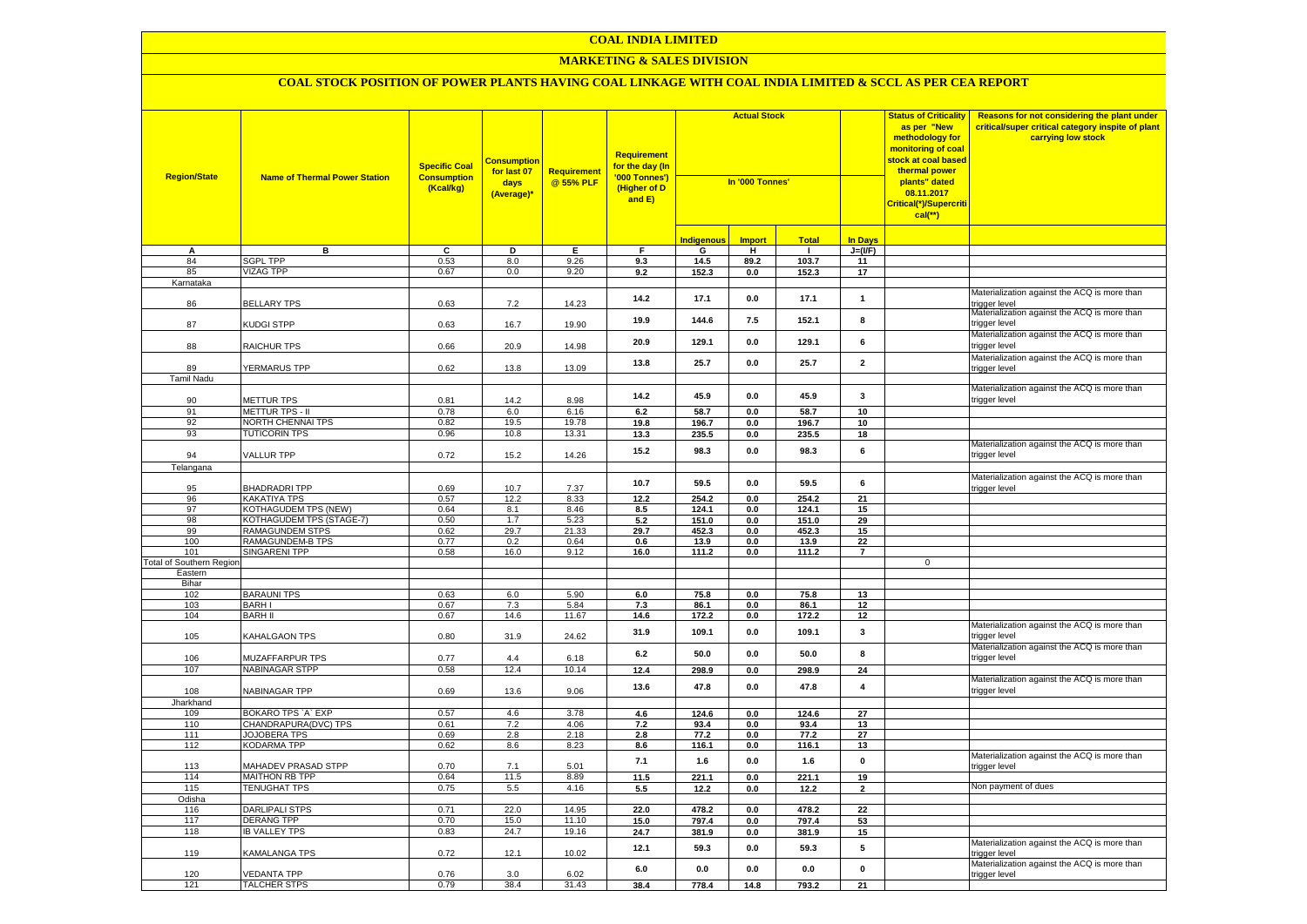#### **MARKETING & SALES DIVISION**

| <b>Region/State</b>             | <b>Name of Thermal Power Station</b>        | <b>Specific Coal</b><br><b>Consumption</b><br>(Kcal/kg) | <u>Consumptior</u><br>for last 07<br>days<br>(Average)* | Requirement<br>@ 55% PLF | <b>Requirement</b><br><mark>for the day (In</mark><br>'000 Tonnes')<br>(Higher of D<br>and E) | <b>Actual Stock</b><br>In '000 Tonnes' |                    |               |                | <b>Status of Criticality</b><br>as per "New<br>methodology for<br>monitoring of coal<br><mark>stock at coal based</mark><br>thermal power<br>plants" dated<br>08.11.2017<br>Critical(*)/Supercriti<br>$cal(**)$ | Reasons for not considering the plant under<br>critical/super critical category inspite of plant<br>carrying low stock |
|---------------------------------|---------------------------------------------|---------------------------------------------------------|---------------------------------------------------------|--------------------------|-----------------------------------------------------------------------------------------------|----------------------------------------|--------------------|---------------|----------------|-----------------------------------------------------------------------------------------------------------------------------------------------------------------------------------------------------------------|------------------------------------------------------------------------------------------------------------------------|
|                                 |                                             |                                                         |                                                         |                          |                                                                                               | <b>Indigenous</b>                      | <b>Import</b>      | <b>Total</b>  | <b>In Days</b> |                                                                                                                                                                                                                 |                                                                                                                        |
| А                               | в                                           | c                                                       | Þ                                                       | Ε                        | F                                                                                             | G                                      | Ŧ                  | ℸ             | $J=(VF)$       |                                                                                                                                                                                                                 |                                                                                                                        |
| 84                              | <b>SGPL TPP</b>                             | 0.53                                                    | 8.0                                                     | 9.26                     | 9.3                                                                                           | 14.5                                   | 89.2               | 103.7         | 11             |                                                                                                                                                                                                                 |                                                                                                                        |
| 85                              | <b>VIZAG TPP</b>                            | 0.67                                                    | 0.0                                                     | 9.20                     | 9.2                                                                                           | 152.3                                  | 0.0                | 152.3         | 17             |                                                                                                                                                                                                                 |                                                                                                                        |
| Karnataka                       |                                             |                                                         |                                                         |                          |                                                                                               |                                        |                    |               |                |                                                                                                                                                                                                                 |                                                                                                                        |
| 86                              | <b>BELLARY TPS</b>                          | 0.63                                                    | 7.2                                                     | 14.23                    | 14.2                                                                                          | 17.1                                   | 0.0                | 17.1          | $\mathbf{1}$   |                                                                                                                                                                                                                 | Materialization against the ACQ is more than<br>rigger level                                                           |
| 87                              | KUDGI STPP                                  | 0.63                                                    | 16.7                                                    | 19.90                    | 19.9                                                                                          | 144.6                                  | 7.5                | 152.1         | 8              |                                                                                                                                                                                                                 | Materialization against the ACQ is more than<br>trigger level                                                          |
| 88                              | RAICHUR TPS                                 | 0.66                                                    | 20.9                                                    | 14.98                    | 20.9                                                                                          | 129.1                                  | 0.0                | 129.1         | 6              |                                                                                                                                                                                                                 | Materialization against the ACQ is more than<br>rigger level                                                           |
| 89                              | YERMARUS TPP                                | 0.62                                                    | 13.8                                                    | 13.09                    | 13.8                                                                                          | 25.7                                   | $0.0\,$            | 25.7          | $\mathbf 2$    |                                                                                                                                                                                                                 | Materialization against the ACQ is more than<br>rigger level                                                           |
| <b>Tamil Nadu</b>               |                                             |                                                         |                                                         |                          |                                                                                               |                                        |                    |               |                |                                                                                                                                                                                                                 |                                                                                                                        |
| 90                              | METTUR TPS                                  | 0.81                                                    | 14.2                                                    | 8.98                     | 14.2                                                                                          | 45.9                                   | 0.0                | 45.9          | $\mathbf{3}$   |                                                                                                                                                                                                                 | Materialization against the ACQ is more than<br>trigger level                                                          |
| 91                              | <b>METTUR TPS - II</b>                      | 0.78                                                    | 6.0                                                     | 6.16                     | 6.2                                                                                           | 58.7                                   | 0.0                | 58.7          | 10             |                                                                                                                                                                                                                 |                                                                                                                        |
| 92                              | NORTH CHENNAI TPS                           | 0.82                                                    | 19.5                                                    | 19.78                    | 19.8                                                                                          | 196.7                                  | $0.0\,$            | 196.7         | 10             |                                                                                                                                                                                                                 |                                                                                                                        |
| 93                              | <b>TUTICORIN TPS</b>                        | 0.96                                                    | 10.8                                                    | 13.31                    | 13.3                                                                                          | 235.5                                  | 0.0                | 235.5         | 18             |                                                                                                                                                                                                                 |                                                                                                                        |
| 94                              | <b>VALLUR TPP</b>                           | 0.72                                                    | 15.2                                                    | 14.26                    | 15.2                                                                                          | 98.3                                   | 0.0                | 98.3          | 6              |                                                                                                                                                                                                                 | Materialization against the ACQ is more than<br>rigger level                                                           |
| Telangana                       |                                             |                                                         |                                                         |                          |                                                                                               |                                        |                    |               |                |                                                                                                                                                                                                                 |                                                                                                                        |
|                                 |                                             |                                                         |                                                         |                          | 10.7                                                                                          | 59.5                                   | 0.0                | 59.5          | 6              |                                                                                                                                                                                                                 | Materialization against the ACQ is more than                                                                           |
| 95                              | <b>BHADRADRITPP</b>                         | 0.69                                                    | 10.7                                                    | 7.37                     |                                                                                               |                                        |                    |               |                |                                                                                                                                                                                                                 | rigger level                                                                                                           |
| 96                              | <b>KAKATIYA TPS</b>                         | 0.57                                                    | 12.2                                                    | 8.33                     | 12.2                                                                                          | 254.2                                  | 0.0                | 254.2         | 21             |                                                                                                                                                                                                                 |                                                                                                                        |
| 97                              | <b>KOTHAGUDEM TPS (NEW)</b>                 | 0.64                                                    | 8.1                                                     | 8.46                     | 8.5                                                                                           | 124.1                                  | 0.0                | 124.1         | 15             |                                                                                                                                                                                                                 |                                                                                                                        |
| 98<br>99                        | KOTHAGUDEM TPS (STAGE-7)<br>RAMAGUNDEM STPS | 0.50                                                    | 1.7<br>29.7                                             | 5.23                     | 5.2                                                                                           | 151.0<br>452.3                         | $0.0\,$<br>$0.0\,$ | 151.0         | 29             |                                                                                                                                                                                                                 |                                                                                                                        |
| 100                             | RAMAGUNDEM-B TPS                            | 0.62<br>0.77                                            | 0.2                                                     | 21.33<br>0.64            | 29.7<br>0.6                                                                                   | 13.9                                   | $0.0\,$            | 452.3<br>13.9 | 15<br>22       |                                                                                                                                                                                                                 |                                                                                                                        |
| 101                             | <b>SINGARENI TPP</b>                        | 0.58                                                    | 16.0                                                    | 9.12                     | 16.0                                                                                          | 111.2                                  | 0.0                | 111.2         | $\overline{7}$ |                                                                                                                                                                                                                 |                                                                                                                        |
| <b>Total of Southern Region</b> |                                             |                                                         |                                                         |                          |                                                                                               |                                        |                    |               |                | $\mathbf 0$                                                                                                                                                                                                     |                                                                                                                        |
| Eastern                         |                                             |                                                         |                                                         |                          |                                                                                               |                                        |                    |               |                |                                                                                                                                                                                                                 |                                                                                                                        |
| Bihar                           |                                             |                                                         |                                                         |                          |                                                                                               |                                        |                    |               |                |                                                                                                                                                                                                                 |                                                                                                                        |
| 102                             | <b>BARAUNI TPS</b>                          | 0.63                                                    | 6.0                                                     | 5.90                     | 6.0                                                                                           | 75.8                                   | 0.0                | 75.8          | 13             |                                                                                                                                                                                                                 |                                                                                                                        |
| 103                             | <b>BARHI</b>                                | 0.67                                                    | 7.3                                                     | 5.84                     | 7.3                                                                                           | 86.1                                   | 0.0                | 86.1          | 12             |                                                                                                                                                                                                                 |                                                                                                                        |
| 104                             | <b>BARH II</b>                              | 0.67                                                    | 14.6                                                    | 11.67                    | 14.6                                                                                          | 172.2                                  | 0.0                | 172.2         | 12             |                                                                                                                                                                                                                 | Materialization against the ACQ is more than                                                                           |
| 105                             | KAHALGAON TPS                               | 0.80                                                    | 31.9                                                    | 24.62                    | 31.9                                                                                          | 109.1                                  | 0.0                | 109.1         | 3              |                                                                                                                                                                                                                 | trigger level                                                                                                          |
| 106                             | MUZAFFARPUR TPS                             | 0.77                                                    | 4.4                                                     | 6.18                     | 6.2                                                                                           | 50.0                                   | 0.0                | 50.0          | 8              |                                                                                                                                                                                                                 | Materialization against the ACQ is more than<br>trigger level                                                          |
| 107                             | <b>NABINAGAR STPP</b>                       | 0.58                                                    | 12.4                                                    | 10.14                    | 12.4                                                                                          | 298.9                                  | $\mathbf{0.0}$     | 298.9         | ${\bf 24}$     |                                                                                                                                                                                                                 |                                                                                                                        |
| 108                             | NABINAGAR TPP                               | 0.69                                                    | 13.6                                                    | 9.06                     | 13.6                                                                                          | 47.8                                   | 0.0                | 47.8          | $\pmb{4}$      |                                                                                                                                                                                                                 | Materialization against the ACQ is more than<br>rigger level                                                           |
| Jharkhand                       |                                             |                                                         |                                                         |                          |                                                                                               |                                        |                    |               |                |                                                                                                                                                                                                                 |                                                                                                                        |
| 109                             | BOKARO TPS `A` EXP                          | 0.57                                                    | 4.6                                                     | 3.78                     | 4.6                                                                                           | 124.6                                  | 0.0                | 124.6         | 27             |                                                                                                                                                                                                                 |                                                                                                                        |
| 110<br>111                      | CHANDRAPURA(DVC) TPS<br><b>JOJOBERA TPS</b> | 0.61<br>0.69                                            | 7.2<br>2.8                                              | 4.06<br>2.18             | 7.2<br>2.8                                                                                    | 93.4<br>77.2                           | 0.0<br>0.0         | 93.4<br>77.2  | 13<br>27       |                                                                                                                                                                                                                 |                                                                                                                        |
| 112                             | KODARMA TPP                                 | 0.62                                                    | 8.6                                                     | 8.23                     | 8.6                                                                                           | 116.1                                  | 0.0                | 116.1         | 13             |                                                                                                                                                                                                                 |                                                                                                                        |
| 113                             | <b>MAHADEV PRASAD STPP</b>                  | 0.70                                                    | 7.1                                                     | 5.01                     | 7.1                                                                                           | 1.6                                    | 0.0                | 1.6           | $\pmb{0}$      |                                                                                                                                                                                                                 | Materialization against the ACQ is more than<br>rigger level                                                           |
| 114                             | MAITHON RB TPP                              | 0.64                                                    | 11.5                                                    | 8.89                     | 11.5                                                                                          | 221.1                                  | 0.0                | 221.1         | 19             |                                                                                                                                                                                                                 |                                                                                                                        |
| 115                             | <b>TENUGHAT TPS</b>                         | 0.75                                                    | 5.5                                                     | 4.16                     | 5.5                                                                                           | 12.2                                   | 0.0                | 12.2          | $\overline{2}$ |                                                                                                                                                                                                                 | Non payment of dues                                                                                                    |
| Odisha                          |                                             |                                                         |                                                         |                          |                                                                                               |                                        |                    |               |                |                                                                                                                                                                                                                 |                                                                                                                        |
| 116                             | <b>DARLIPALI STPS</b>                       | 0.71                                                    | 22.0                                                    | 14.95                    | 22.0                                                                                          | 478.2                                  | 0.0                | 478.2         | 22             |                                                                                                                                                                                                                 |                                                                                                                        |
| 117                             | <b>DERANG TPP</b>                           | 0.70                                                    | 15.0                                                    | 11.10                    | 15.0                                                                                          | 797.4                                  | 0.0                | 797.4         | 53             |                                                                                                                                                                                                                 |                                                                                                                        |
| 118                             | <b>IB VALLEY TPS</b>                        | 0.83                                                    | 24.7                                                    | 19.16                    | 24.7                                                                                          | 381.9                                  | 0.0                | 381.9         | 15             |                                                                                                                                                                                                                 |                                                                                                                        |
| 119                             | KAMALANGA TPS                               | 0.72                                                    | 12.1                                                    | 10.02                    | 12.1                                                                                          | 59.3                                   | 0.0                | 59.3          | 5              |                                                                                                                                                                                                                 | Materialization against the ACQ is more than<br>rigger level                                                           |
| 120                             | <b>VEDANTA TPP</b>                          | 0.76                                                    | 3.0                                                     | 6.02                     | 6.0                                                                                           | 0.0                                    | 0.0                | 0.0           | $\mathbf{0}$   |                                                                                                                                                                                                                 | Materialization against the ACQ is more than<br>trigger level                                                          |
| 121                             | <b>TALCHER STPS</b>                         | 0.79                                                    | 38.4                                                    | 31.43                    | 38.4                                                                                          | 778.4                                  | 14.8               | 793.2         | 21             |                                                                                                                                                                                                                 |                                                                                                                        |